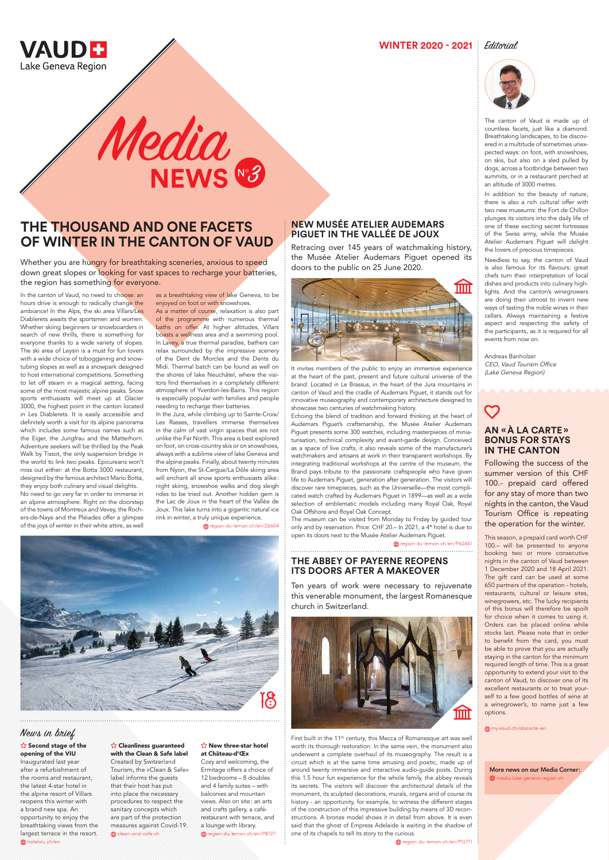## **NEW MUSÉE ATELIER AUDEMARS PIGUET IN THE VALLÉE DE JOUX**

Retracing over 145 years of watchmaking history, the Musée Atelier Audemars Piguet opened its doors to the public on 25 June 2020.



It invites members of the public to enjoy an immersive experience at the heart of the past, present and future cultural universe of the brand. Located in Le Brassus, in the heart of the Jura mountains in canton of Vaud and the cradle of Audemars Piguet, it stands out for innovative museography and contemporary architecture designed to showcase two centuries of watchmaking history.

Echoing the blend of tradition and forward thinking at the heart of Audemars Piguet's craftsmanship, the Musée Atelier Audemars Piguet presents some 300 watches, including masterpieces of miniaturisation, technical complexity and avant-garde design. Conceived as a space of live crafts, it also reveals some of the manufacturer's watchmakers and artisans at work in their transparent workshops. By integrating traditional workshops at the centre of the museum, the Brand pays tribute to the passionate craftspeople who have given life to Audemars Piguet, generation after generation. The visitors will discover rare timepieces, such as the Universelle—the most complicated watch crafted by Audemars Piguet in 1899—as well as a wide selection of emblematic models including many Royal Oak, Royal Oak Offshore and Royal Oak Concept.

The museum can be visited from Monday to Friday by guided tour only and by reservation. Price: CHF 20.– In 2021, a 4\* hotel is due to open its doors next to the Musée Atelier Audemars Piguet.

region-du-leman.ch/en/P62461

## **AN «À LA CARTE» BONUS FOR STAYS IN THE CANTON**

Following the success of the summer version of this CHF 100.- prepaid card offered for any stay of more than two nights in the canton, the Vaud Tourism Office is repeating the operation for the winter.

This season, a prepaid card worth CHF 100.– will be presented to anyone booking two or more consecutive nights in the canton of Vaud between 1 December 2020 and 18 April 2021. The gift card can be used at some 650 partners of the operation - hotels, restaurants, cultural or leisure sites, winegrowers, etc. The lucky recipients of this bonus will therefore be spoilt for choice when it comes to using it. Orders can be placed online while stocks last. Please note that in order to benefit from the card, you must e able to prove that you are actually staying in the canton for the minimum required length of time. This is a great opportunity to extend your visit to the canton of Vaud, to discover one of its excellent restaurants or to treat yourself to a few good bottles of wine at a winegrower's, to name just a few options.

First built in the 11<sup>th</sup> century, this Mecca of Romanesque art was well worth its thorough restoration. In the same vein, the monument also underwent a complete overhaul of its museography. The result is a circuit which is at the same time amusing and poetic, made up of around twenty immersive and interactive audio-guide posts. During this 1.5 hour fun experience for the whole family, the abbey reveals its secrets. The visitors will discover the architectural details of the monument, its sculpted decorations, murals, organs and of course its history - an opportunity, for example, to witness the different stages of the construction of this impressive building by means of 3D reconstructions. A bronze model shows it in detail from above. It is even said that the ghost of Empress Adelaide is waiting in the shadow of one of its chapels to tell its story to the curious.

#### $\hat{\mathbf{w}}$  Second stage of the opening of the VIU

#### $\sqrt{2}$  Cleanliness guaranteed with the Clean & Safe label

Created by Switzerland Tourism, the «Clean & Safe» label informs the guests that their host has put into place the necessary procedures to respect the sanitary concepts which are part of the protection measures against Covid-19. clean-and-safe.ch

#### myvaud.ch/alacarte-en

#### $\hat{X}$  New three-star hotel at Château-d'Œx

The canton of Vaud is made up of countless facets, just like a diamond. Breathtaking landscapes, to be discovered in a multitude of sometimes unexpected ways: on foot, with snowshoes, on skis, but also on a sled pulled by dogs, across a footbridge between two summits, or in a restaurant perched at an altitude of 3000 metres.

In addition to the beauty of nature, there is also a rich cultural offer with two new museums: the Fort de Chillon plunges its visitors into the daily life of one of these exciting secret fortresses of the Swiss army, while the Musée Atelier Audemars Piguet will delight the lovers of precious timepieces.

Needless to say, the canton of Vaud is also famous for its flavours: great chefs turn their interpretation of local dishes and products into culinary highlights. And the canton's winegrowers are doing their utmost to invent new ways of tasting the noble wines in their cellars. Always maintaining a festive aspect and respecting the safety of the participants, as it is required for all events from now on.

In the canton of Vaud, no need to choose: an hours drive is enough to radically change the ambiance! In the Alps, the ski area Villars/Les Diablerets awaits the sportsmen and women. Whether skiing beginners or snowboarders in search of new thrills, there is something for everyone thanks to a wide variety of slopes. The ski area of Leysin is a must for fun lovers with a wide choice of tobogganing and snowtubing slopes as well as a snowpark designed to host international competitions. Something to let off steam in a magical setting, facing some of the most majestic alpine peaks. Snow sports enthusiasts will meet up at Glacier 3000, the highest point in the canton located in Les Diablerets. It is easily accessible and definitely worth a visit for its alpine panorama which includes some famous names such as the Eiger, the Jungfrau and the Matterhorn. Adventure seekers will be thrilled by the Peak Walk by Tissot, the only suspension bridge in the world to link two peaks. Epicureans won't miss out either: at the Botta 3000 restaurant, designed by the famous architect Mario Botta, they enjoy both culinary and visual delights. No need to go very far in order to immerse in an alpine atmosphere. Right on the doorstep of the towns of Montreux and Vevey, the Rochers-de-Naye and the Pléiades offer a glimpse of the joys of winter in their white attire, as well

Andreas Banholzer CEO, Vaud Tourism Office (Lake Geneva Region)

### **WINTER 2020 - 2021** Editorial



## **THE ABBEY OF PAYERNE REOPENS ITS DOORS AFTER A MAKEOVER**

Ten years of work were necessary to rejuvenate this venerable monument, the largest Romanesque church in Switzerland.





region-du-leman.ch/en/P12711

ÍIIIÌ

Inaugurated last year after a refurbishment of the rooms and restaurant, the latest 4-star hotel in the alpine resort of Villars reopens this winter with a brand new spa. An opportunity to enjoy the breathtaking views from the largest terrace in the resort. hotelviu.ch/en

Cozy and welcoming, the Ermitage offers a choice of 12 bedrooms – 8 doubles and 4 family suites – with balconies and mountain views. Also on site: an arts and crafts gallery, a caférestaurant with terrace, and a lounge with library. region-du-leman.ch/en/P8727

## News in brief



# **THE THOUSAND AND ONE FACETS OF WINTER IN THE CANTON OF VAUD**

Whether you are hungry for breathtaking sceneries, anxious to speed down great slopes or looking for vast spaces to recharge your batteries, the region has something for everyone.

> as a breathtaking view of lake Geneva, to be enjoyed on foot or with snowshoes.

> As a matter of course, relaxation is also part of the programme with numerous thermal baths on offer. At higher altitudes, Villars boasts a wellness area and a swimming pool. In Lavey, a true thermal paradise, bathers can relax surrounded by the impressive scenery of the Dent de Morcles and the Dents du Midi. Thermal batch can be found as well on the shores of lake Neuchâtel, where the visitors find themselves in a completely different atmosphere of Yverdon-les-Bains. This region is especially popular with families and people needing to recharge their batteries.

> In the Jura, while climbing up to Sainte-Croix/ Les Rasses, travellers immerse themselves in the calm of vast virgin spaces that are not unlike the Far North. This area is best explored on foot, on cross-country skis or on snowshoes, always with a sublime view of lake Geneva and the alpine peaks. Finally, about twenty minutes from Nyon, the St-Cergue/La Dôle skiing area will enchant all snow sports enthusiasts alike: night skiing, snowshoe walks and dog sleigh rides to be tried out. Another hidden gem is the Lac de Joux in the heart of the Vallée de Joux. This lake turns into a gigantic natural ice rink in winter, a truly unique experience.

> > region-du-leman.ch/en/Z6604



#### More news on our Media Corner: media.lake-geneva-region.ch